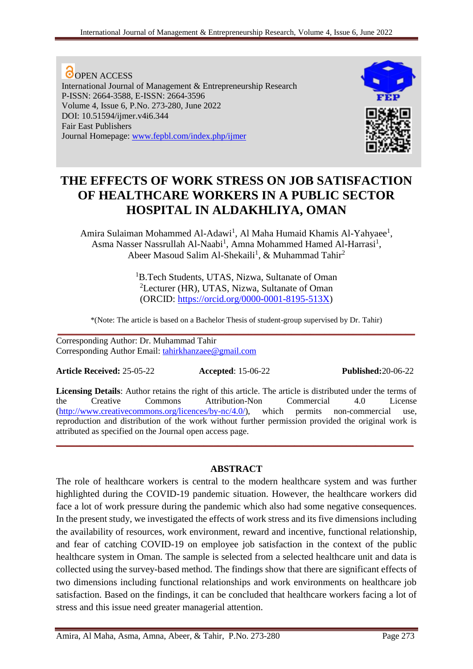**O**OPEN ACCESS International Journal of Management & Entrepreneurship Research P-ISSN: 2664-3588, E-ISSN: 2664-3596 Volume 4, Issue 6, P.No. 273-280, June 2022 DOI: 10.51594/ijmer.v4i6.344 Fair East Publishers Journal Homepage: [www.fepbl.com/index.php/ijmer](http://www.fepbl.com/index.php/ijmer)



# **THE EFFECTS OF WORK STRESS ON JOB SATISFACTION OF HEALTHCARE WORKERS IN A PUBLIC SECTOR HOSPITAL IN ALDAKHLIYA, OMAN**

Amira Sulaiman Mohammed Al-Adawi<sup>1</sup>, Al Maha Humaid Khamis Al-Yahyaee<sup>1</sup>, Asma Nasser Nassrullah Al-Naabi<sup>1</sup>, Amna Mohammed Hamed Al-Harrasi<sup>1</sup>, Abeer Masoud Salim Al-Shekaili<sup>1</sup>, & Muhammad Tahir<sup>2</sup>

> <sup>1</sup>B.Tech Students, UTAS, Nizwa, Sultanate of Oman <sup>2</sup>Lecturer (HR), UTAS, Nizwa, Sultanate of Oman (ORCID: [https://orcid.org/0000-0001-8195-513X\)](https://orcid.org/0000-0001-8195-513X)

\*(Note: The article is based on a Bachelor Thesis of student-group supervised by Dr. Tahir) **\_\_\_\_\_\_\_\_\_\_\_\_\_\_\_\_\_\_\_\_\_\_\_\_\_\_\_\_\_\_\_\_\_\_\_\_\_\_\_\_\_\_\_\_\_\_\_\_\_\_\_\_\_\_\_\_\_\_\_\_\_\_\_\_\_\_\_\_\_\_\_\_\_\_\_**

Corresponding Author: Dr. Muhammad Tahir Corresponding Author Email: [tahirkhanzaee@gmail.com](mailto:tahirkhanzaee@gmail.com)

**Article Received:** 25-05-22 **Accepted**: 15-06-22 **Published:**20-06-22

**Licensing Details**: Author retains the right of this article. The article is distributed under the terms of the Creative Commons Attribution-Non Commercial 4.0 License [\(http://www.creativecommons.org/licences/by-nc/4.0/\)](http://www.creativecommons.org/licences/by-nc/4.0/), which permits non-commercial use, reproduction and distribution of the work without further permission provided the original work is attributed as specified on the Journal open access page. **\_\_\_\_\_\_\_\_\_\_\_\_\_\_\_\_\_\_\_\_\_\_\_\_\_\_\_\_\_\_\_\_\_\_\_\_\_\_\_\_\_\_\_\_\_\_\_\_\_\_\_\_\_\_\_\_\_\_\_\_\_\_\_\_\_\_\_\_\_\_\_\_\_\_\_**

## **ABSTRACT**

The role of healthcare workers is central to the modern healthcare system and was further highlighted during the COVID-19 pandemic situation. However, the healthcare workers did face a lot of work pressure during the pandemic which also had some negative consequences. In the present study, we investigated the effects of work stress and its five dimensions including the availability of resources, work environment, reward and incentive, functional relationship, and fear of catching COVID-19 on employee job satisfaction in the context of the public healthcare system in Oman. The sample is selected from a selected healthcare unit and data is collected using the survey-based method. The findings show that there are significant effects of two dimensions including functional relationships and work environments on healthcare job satisfaction. Based on the findings, it can be concluded that healthcare workers facing a lot of stress and this issue need greater managerial attention.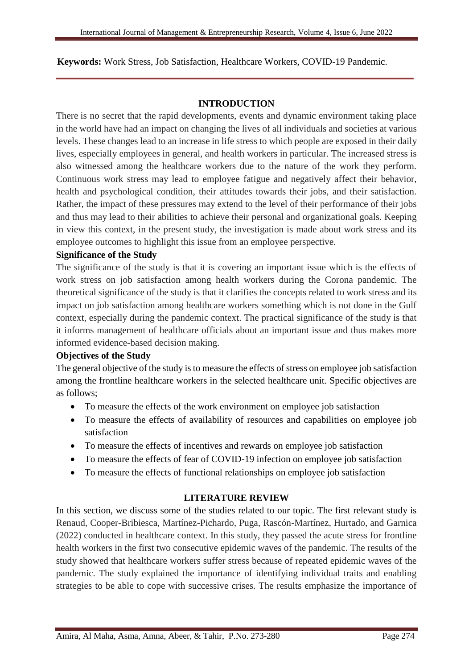#### **Keywords:** Work Stress, Job Satisfaction, Healthcare Workers, COVID-19 Pandemic.

#### **INTRODUCTION**

**\_\_\_\_\_\_\_\_\_\_\_\_\_\_\_\_\_\_\_\_\_\_\_\_\_\_\_\_\_\_\_\_\_\_\_\_\_\_\_\_\_\_\_\_\_\_\_\_\_\_\_\_\_\_\_\_\_\_\_\_\_\_\_\_\_\_\_\_\_\_\_\_\_\_\_**

There is no secret that the rapid developments, events and dynamic environment taking place in the world have had an impact on changing the lives of all individuals and societies at various levels. These changes lead to an increase in life stress to which people are exposed in their daily lives, especially employees in general, and health workers in particular. The increased stress is also witnessed among the healthcare workers due to the nature of the work they perform. Continuous work stress may lead to employee fatigue and negatively affect their behavior, health and psychological condition, their attitudes towards their jobs, and their satisfaction. Rather, the impact of these pressures may extend to the level of their performance of their jobs and thus may lead to their abilities to achieve their personal and organizational goals. Keeping in view this context, in the present study, the investigation is made about work stress and its employee outcomes to highlight this issue from an employee perspective.

#### **Significance of the Study**

The significance of the study is that it is covering an important issue which is the effects of work stress on job satisfaction among health workers during the Corona pandemic. The theoretical significance of the study is that it clarifies the concepts related to work stress and its impact on job satisfaction among healthcare workers something which is not done in the Gulf context, especially during the pandemic context. The practical significance of the study is that it informs management of healthcare officials about an important issue and thus makes more informed evidence-based decision making.

#### **Objectives of the Study**

The general objective of the study is to measure the effects of stress on employee job satisfaction among the frontline healthcare workers in the selected healthcare unit. Specific objectives are as follows;

- To measure the effects of the work environment on employee job satisfaction
- To measure the effects of availability of resources and capabilities on employee job satisfaction
- To measure the effects of incentives and rewards on employee job satisfaction
- To measure the effects of fear of COVID-19 infection on employee job satisfaction
- To measure the effects of functional relationships on employee job satisfaction

#### **LITERATURE REVIEW**

In this section, we discuss some of the studies related to our topic. The first relevant study is Renaud, Cooper-Bribiesca, Martínez-Pichardo, Puga, Rascón-Martínez, Hurtado, and Garnica (2022) conducted in healthcare context. In this study, they passed the acute stress for frontline health workers in the first two consecutive epidemic waves of the pandemic. The results of the study showed that healthcare workers suffer stress because of repeated epidemic waves of the pandemic. The study explained the importance of identifying individual traits and enabling strategies to be able to cope with successive crises. The results emphasize the importance of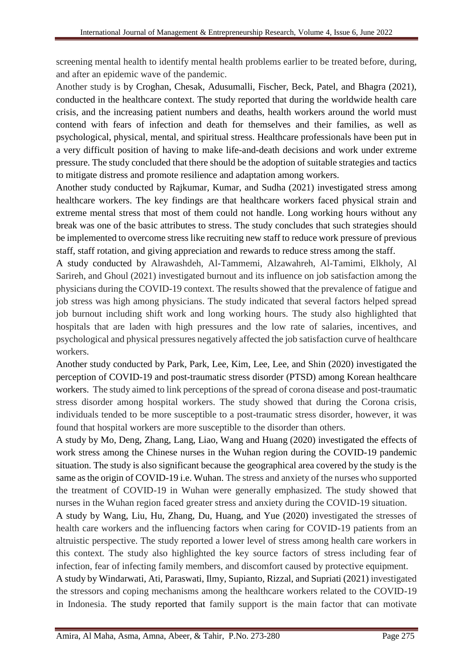screening mental health to identify mental health problems earlier to be treated before, during, and after an epidemic wave of the pandemic.

Another study is by Croghan, Chesak, Adusumalli, Fischer, Beck, Patel, and Bhagra (2021), conducted in the healthcare context. The study reported that during the worldwide health care crisis, and the increasing patient numbers and deaths, health workers around the world must contend with fears of infection and death for themselves and their families, as well as psychological, physical, mental, and spiritual stress. Healthcare professionals have been put in a very difficult position of having to make life-and-death decisions and work under extreme pressure. The study concluded that there should be the adoption of suitable strategies and tactics to mitigate distress and promote resilience and adaptation among workers.

Another study conducted by Rajkumar, Kumar, and Sudha (2021) investigated stress among healthcare workers. The key findings are that healthcare workers faced physical strain and extreme mental stress that most of them could not handle. Long working hours without any break was one of the basic attributes to stress. The study concludes that such strategies should be implemented to overcome stress like recruiting new staff to reduce work pressure of previous staff, staff rotation, and giving appreciation and rewards to reduce stress among the staff.

A study conducted by Alrawashdeh, Al-Tammemi, Alzawahreh, Al-Tamimi, Elkholy, Al Sarireh, and Ghoul (2021) investigated burnout and its influence on job satisfaction among the physicians during the COVID-19 context. The results showed that the prevalence of fatigue and job stress was high among physicians. The study indicated that several factors helped spread job burnout including shift work and long working hours. The study also highlighted that hospitals that are laden with high pressures and the low rate of salaries, incentives, and psychological and physical pressures negatively affected the job satisfaction curve of healthcare workers.

Another study conducted by Park, Park, Lee, Kim, Lee, Lee, and Shin (2020) investigated the perception of COVID-19 and post-traumatic stress disorder (PTSD) among Korean healthcare workers. The study aimed to link perceptions of the spread of corona disease and post-traumatic stress disorder among hospital workers. The study showed that during the Corona crisis, individuals tended to be more susceptible to a post-traumatic stress disorder, however, it was found that hospital workers are more susceptible to the disorder than others.

A study by Mo, Deng, Zhang, Lang, Liao, Wang and Huang (2020) investigated the effects of work stress among the Chinese nurses in the Wuhan region during the COVID-19 pandemic situation. The study is also significant because the geographical area covered by the study is the same as the origin of COVID-19 i.e. Wuhan. The stress and anxiety of the nurses who supported the treatment of COVID-19 in Wuhan were generally emphasized. The study showed that nurses in the Wuhan region faced greater stress and anxiety during the COVID-19 situation.

A study by Wang, Liu, Hu, Zhang, Du, Huang, and Yue (2020) investigated the stresses of health care workers and the influencing factors when caring for COVID-19 patients from an altruistic perspective. The study reported a lower level of stress among health care workers in this context. The study also highlighted the key source factors of stress including fear of infection, fear of infecting family members, and discomfort caused by protective equipment.

A study by Windarwati, Ati, Paraswati, Ilmy, Supianto, Rizzal, and Supriati (2021) investigated the stressors and coping mechanisms among the healthcare workers related to the COVID-19 in Indonesia. The study reported that family support is the main factor that can motivate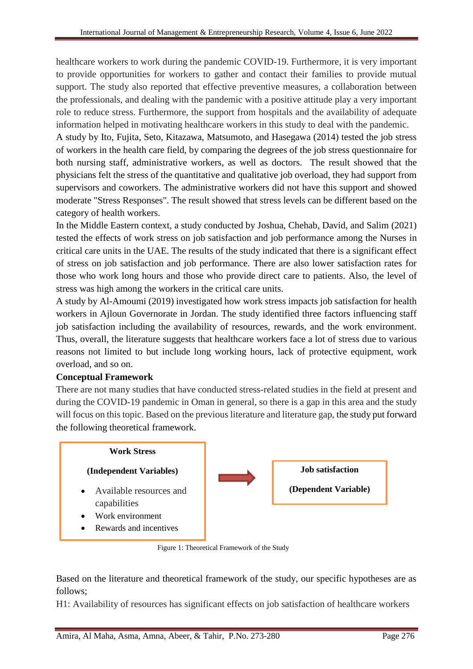healthcare workers to work during the pandemic COVID-19. Furthermore, it is very important to provide opportunities for workers to gather and contact their families to provide mutual support. The study also reported that effective preventive measures, a collaboration between the professionals, and dealing with the pandemic with a positive attitude play a very important role to reduce stress. Furthermore, the support from hospitals and the availability of adequate information helped in motivating healthcare workers in this study to deal with the pandemic.

A study by Ito, Fujita, Seto, Kitazawa, Matsumoto, and Hasegawa (2014) tested the job stress of workers in the health care field, by comparing the degrees of the job stress questionnaire for both nursing staff, administrative workers, as well as doctors. The result showed that the physicians felt the stress of the quantitative and qualitative job overload, they had support from supervisors and coworkers. The administrative workers did not have this support and showed moderate "Stress Responses". The result showed that stress levels can be different based on the category of health workers.

In the Middle Eastern context, a study conducted by Joshua, Chehab, David, and Salim (2021) tested the effects of work stress on job satisfaction and job performance among the Nurses in critical care units in the UAE. The results of the study indicated that there is a significant effect of stress on job satisfaction and job performance. There are also lower satisfaction rates for those who work long hours and those who provide direct care to patients. Also, the level of stress was high among the workers in the critical care units.

A study by Al-Amoumi (2019) investigated how work stress impacts job satisfaction for health workers in Ajloun Governorate in Jordan. The study identified three factors influencing staff job satisfaction including the availability of resources, rewards, and the work environment. Thus, overall, the literature suggests that healthcare workers face a lot of stress due to various reasons not limited to but include long working hours, lack of protective equipment, work overload, and so on.

## **Conceptual Framework**

There are not many studies that have conducted stress-related studies in the field at present and during the COVID-19 pandemic in Oman in general, so there is a gap in this area and the study will focus on this topic. Based on the previous literature and literature gap, the study put forward the following theoretical framework.



Figure 1: Theoretical Framework of the Study

Based on the literature and theoretical framework of the study, our specific hypotheses are as follows;

H1: Availability of resources has significant effects on job satisfaction of healthcare workers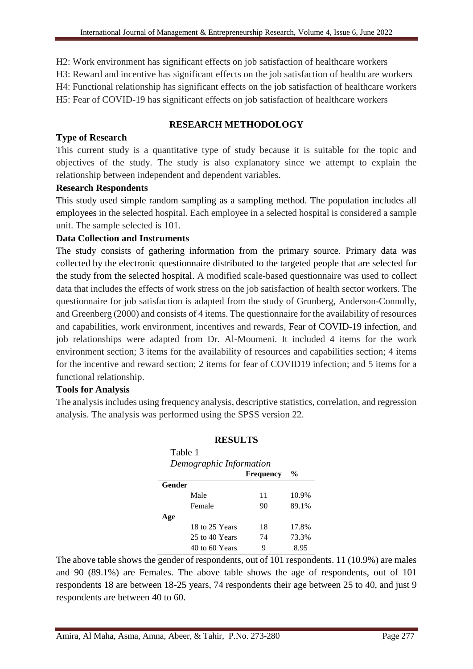H2: Work environment has significant effects on job satisfaction of healthcare workers

H3: Reward and incentive has significant effects on the job satisfaction of healthcare workers

H4: Functional relationship has significant effects on the job satisfaction of healthcare workers

H5: Fear of COVID-19 has significant effects on job satisfaction of healthcare workers

## **RESEARCH METHODOLOGY**

## **Type of Research**

This current study is a quantitative type of study because it is suitable for the topic and objectives of the study. The study is also explanatory since we attempt to explain the relationship between independent and dependent variables.

## **Research Respondents**

This study used simple random sampling as a sampling method. The population includes all employees in the selected hospital. Each employee in a selected hospital is considered a sample unit. The sample selected is 101.

## **Data Collection and Instruments**

The study consists of gathering information from the primary source. Primary data was collected by the electronic questionnaire distributed to the targeted people that are selected for the study from the selected hospital. A modified scale-based questionnaire was used to collect data that includes the effects of work stress on the job satisfaction of health sector workers. The questionnaire for job satisfaction is adapted from the study of Grunberg, Anderson-Connolly, and Greenberg (2000) and consists of 4 items. The questionnaire for the availability of resources and capabilities, work environment, incentives and rewards, Fear of COVID-19 infection, and job relationships were adapted from Dr. Al-Moumeni. It included 4 items for the work environment section; 3 items for the availability of resources and capabilities section; 4 items for the incentive and reward section; 2 items for fear of COVID19 infection; and 5 items for a functional relationship.

# **Tools for Analysis**

The analysis includes using frequency analysis, descriptive statistics, correlation, and regression analysis. The analysis was performed using the SPSS version 22.

| Table 1<br>Demographic Information |                  |               |  |  |
|------------------------------------|------------------|---------------|--|--|
|                                    | <b>Frequency</b> | $\frac{6}{9}$ |  |  |
| Gender                             |                  |               |  |  |
| Male                               | 11               | 10.9%         |  |  |
| Female                             | 90               | 89.1%         |  |  |
| Age                                |                  |               |  |  |
| 18 to 25 Years                     | 18               | 17.8%         |  |  |
| 25 to 40 Years                     | 74               | 73.3%         |  |  |
| 40 to 60 Years                     | 9                | 8.95          |  |  |

## **RESULTS**

The above table shows the gender of respondents, out of 101 respondents. 11 (10.9%) are males and 90 (89.1%) are Females. The above table shows the age of respondents, out of 101 respondents 18 are between 18-25 years, 74 respondents their age between 25 to 40, and just 9 respondents are between 40 to 60.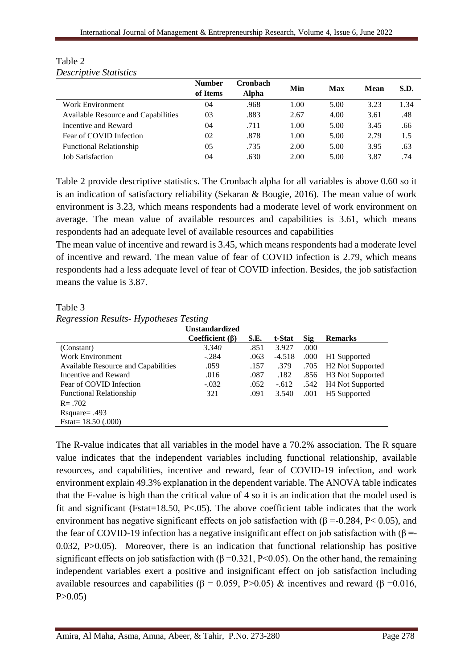|                                     | <b>Number</b><br>of Items | Cronbach<br><b>Alpha</b> | Min  | Max  | Mean | S.D. |
|-------------------------------------|---------------------------|--------------------------|------|------|------|------|
| Work Environment                    | 04                        | .968                     | 1.00 | 5.00 | 3.23 | 1.34 |
| Available Resource and Capabilities | 03                        | .883                     | 2.67 | 4.00 | 3.61 | .48  |
| Incentive and Reward                | 04                        | .711                     | 1.00 | 5.00 | 3.45 | .66  |
| Fear of COVID Infection             | 02                        | .878                     | 1.00 | 5.00 | 2.79 | 1.5  |
| <b>Functional Relationship</b>      | 05                        | .735                     | 2.00 | 5.00 | 3.95 | .63  |
| <b>Job Satisfaction</b>             | 04                        | .630                     | 2.00 | 5.00 | 3.87 | .74  |

Table 2 *Descriptive Statistics*

Table 2 provide descriptive statistics. The Cronbach alpha for all variables is above 0.60 so it is an indication of satisfactory reliability (Sekaran & Bougie, 2016). The mean value of work environment is 3.23, which means respondents had a moderate level of work environment on average. The mean value of available resources and capabilities is 3.61, which means respondents had an adequate level of available resources and capabilities

The mean value of incentive and reward is 3.45, which means respondents had a moderate level of incentive and reward. The mean value of fear of COVID infection is 2.79, which means respondents had a less adequate level of fear of COVID infection. Besides, the job satisfaction means the value is 3.87.

Table 3

|  | <b>Regression Results- Hypotheses Testing</b> |  |
|--|-----------------------------------------------|--|
|  |                                               |  |

|                                     | <b>Unstandardized</b> |      |          |            |                              |
|-------------------------------------|-----------------------|------|----------|------------|------------------------------|
|                                     | Coefficient (β)       | S.E. | t-Stat   | <b>Sig</b> | <b>Remarks</b>               |
| (Constant)                          | 3.340                 | .851 | 3.927    | .000       |                              |
| <b>Work Environment</b>             | $-.284$               | .063 | $-4.518$ | .000       | H1 Supported                 |
| Available Resource and Capabilities | .059                  | .157 | .379     | .705       | H <sub>2</sub> Not Supported |
| Incentive and Reward                | .016                  | .087 | .182     | .856       | H <sub>3</sub> Not Supported |
| Fear of COVID Infection             | $-.032$               | .052 | $-.612$  | .542       | <b>H4 Not Supported</b>      |
| <b>Functional Relationship</b>      | 321                   | .091 | 3.540    | .001       | H <sub>5</sub> Supported     |
| $R = .702$                          |                       |      |          |            |                              |
| Rsquare= $.493$                     |                       |      |          |            |                              |
| Fstat = $18.50$ (.000)              |                       |      |          |            |                              |

The R-value indicates that all variables in the model have a 70.2% association. The R square value indicates that the independent variables including functional relationship, available resources, and capabilities, incentive and reward, fear of COVID-19 infection, and work environment explain 49.3% explanation in the dependent variable. The ANOVA table indicates that the F-value is high than the critical value of 4 so it is an indication that the model used is fit and significant (Fstat=18.50, P<.05). The above coefficient table indicates that the work environment has negative significant effects on job satisfaction with ( $\beta$  =-0.284, P< 0.05), and the fear of COVID-19 infection has a negative insignificant effect on job satisfaction with ( $\beta$  =-0.032, P>0.05). Moreover, there is an indication that functional relationship has positive significant effects on job satisfaction with ( $\beta$  =0.321, P<0.05). On the other hand, the remaining independent variables exert a positive and insignificant effect on job satisfaction including available resources and capabilities (β = 0.059, P>0.05) & incentives and reward (β = 0.016,  $P > 0.05$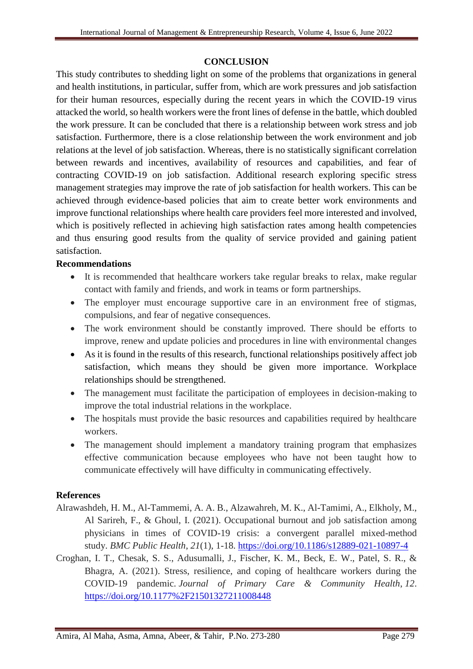#### **CONCLUSION**

This study contributes to shedding light on some of the problems that organizations in general and health institutions, in particular, suffer from, which are work pressures and job satisfaction for their human resources, especially during the recent years in which the COVID-19 virus attacked the world, so health workers were the front lines of defense in the battle, which doubled the work pressure. It can be concluded that there is a relationship between work stress and job satisfaction. Furthermore, there is a close relationship between the work environment and job relations at the level of job satisfaction. Whereas, there is no statistically significant correlation between rewards and incentives, availability of resources and capabilities, and fear of contracting COVID-19 on job satisfaction. Additional research exploring specific stress management strategies may improve the rate of job satisfaction for health workers. This can be achieved through evidence-based policies that aim to create better work environments and improve functional relationships where health care providers feel more interested and involved, which is positively reflected in achieving high satisfaction rates among health competencies and thus ensuring good results from the quality of service provided and gaining patient satisfaction.

#### **Recommendations**

- It is recommended that healthcare workers take regular breaks to relax, make regular contact with family and friends, and work in teams or form partnerships.
- The employer must encourage supportive care in an environment free of stigmas, compulsions, and fear of negative consequences.
- The work environment should be constantly improved. There should be efforts to improve, renew and update policies and procedures in line with environmental changes
- As it is found in the results of this research, functional relationships positively affect job satisfaction, which means they should be given more importance. Workplace relationships should be strengthened.
- The management must facilitate the participation of employees in decision-making to improve the total industrial relations in the workplace.
- The hospitals must provide the basic resources and capabilities required by healthcare workers.
- The management should implement a mandatory training program that emphasizes effective communication because employees who have not been taught how to communicate effectively will have difficulty in communicating effectively.

## **References**

- Alrawashdeh, H. M., Al-Tammemi, A. A. B., Alzawahreh, M. K., Al-Tamimi, A., Elkholy, M., Al Sarireh, F., & Ghoul, I. (2021). Occupational burnout and job satisfaction among physicians in times of COVID-19 crisis: a convergent parallel mixed-method study. *BMC Public Health*, *21*(1), 1-18. <https://doi.org/10.1186/s12889-021-10897-4>
- Croghan, I. T., Chesak, S. S., Adusumalli, J., Fischer, K. M., Beck, E. W., Patel, S. R., & Bhagra, A. (2021). Stress, resilience, and coping of healthcare workers during the COVID-19 pandemic. *Journal of Primary Care & Community Health*, *12*. <https://doi.org/10.1177%2F21501327211008448>